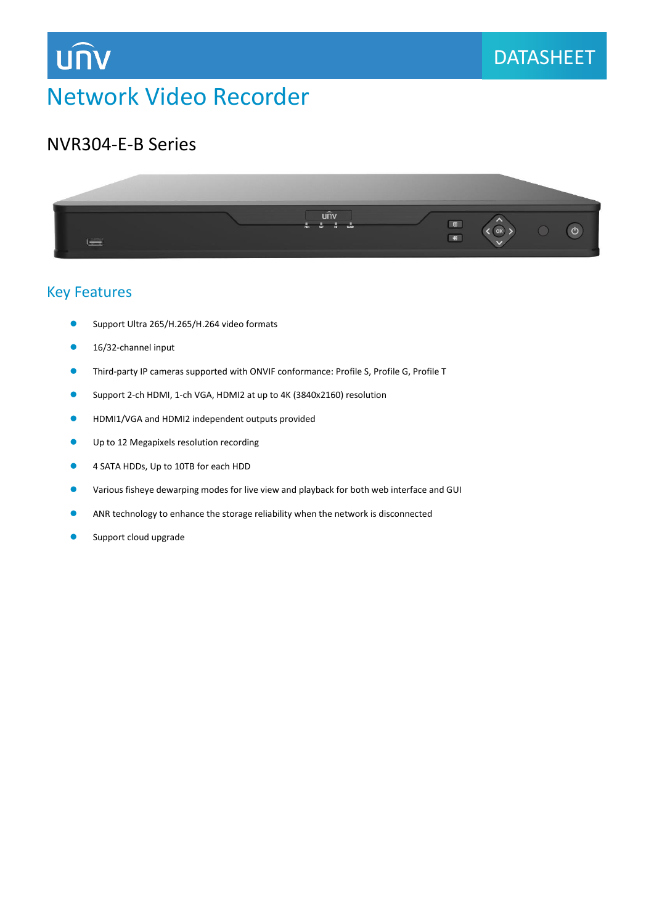## **UNV**

### **DATASHEET**

#### NVR304-E-B Series



#### Key Features

- ⚫ Support Ultra 265/H.265/H.264 video formats
- 16/32-channel input
- ⚫ Third-party IP cameras supported with ONVIF conformance: Profile S, Profile G, Profile T
- Support 2-ch HDMI, 1-ch VGA, HDMI2 at up to 4K (3840x2160) resolution
- HDMI1/VGA and HDMI2 independent outputs provided
- Up to 12 Megapixels resolution recording
- 4 SATA HDDs, Up to 10TB for each HDD
- Various fisheye dewarping modes for live view and playback for both web interface and GUI
- ANR technology to enhance the storage reliability when the network is disconnected
- Support cloud upgrade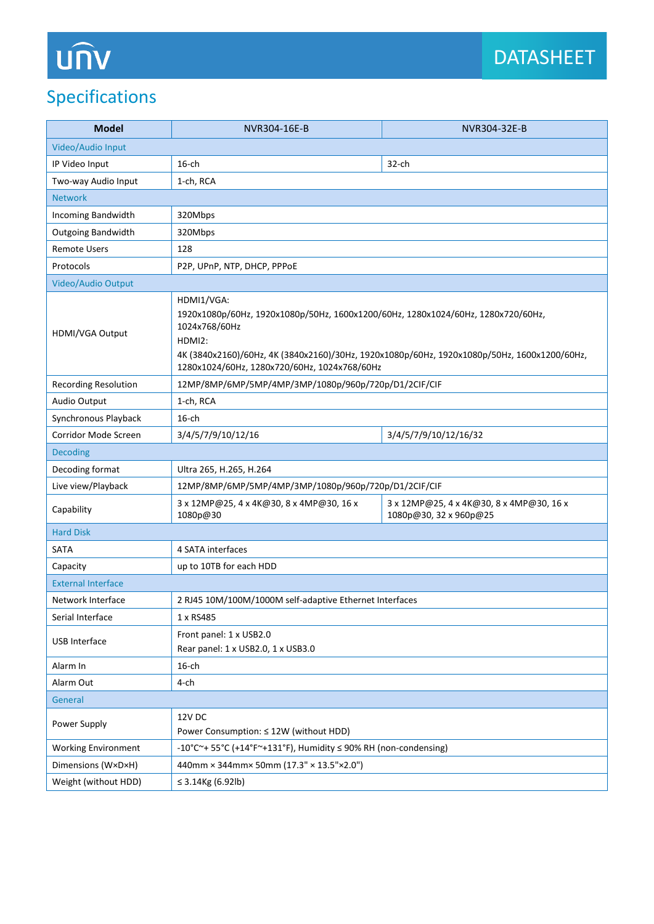## Specifications

| <b>Model</b>                | NVR304-16E-B                                                                                                                                                                                                                                                             | NVR304-32E-B                                                       |
|-----------------------------|--------------------------------------------------------------------------------------------------------------------------------------------------------------------------------------------------------------------------------------------------------------------------|--------------------------------------------------------------------|
| Video/Audio Input           |                                                                                                                                                                                                                                                                          |                                                                    |
| IP Video Input              | $16$ -ch                                                                                                                                                                                                                                                                 | $32$ -ch                                                           |
| Two-way Audio Input         | 1-ch, RCA                                                                                                                                                                                                                                                                |                                                                    |
| <b>Network</b>              |                                                                                                                                                                                                                                                                          |                                                                    |
| Incoming Bandwidth          | 320Mbps                                                                                                                                                                                                                                                                  |                                                                    |
| <b>Outgoing Bandwidth</b>   | 320Mbps                                                                                                                                                                                                                                                                  |                                                                    |
| <b>Remote Users</b>         | 128                                                                                                                                                                                                                                                                      |                                                                    |
| Protocols                   | P2P, UPnP, NTP, DHCP, PPPoE                                                                                                                                                                                                                                              |                                                                    |
| Video/Audio Output          |                                                                                                                                                                                                                                                                          |                                                                    |
| HDMI/VGA Output             | HDMI1/VGA:<br>1920x1080p/60Hz, 1920x1080p/50Hz, 1600x1200/60Hz, 1280x1024/60Hz, 1280x720/60Hz,<br>1024x768/60Hz<br>HDMI2:<br>4K (3840x2160)/60Hz, 4K (3840x2160)/30Hz, 1920x1080p/60Hz, 1920x1080p/50Hz, 1600x1200/60Hz,<br>1280x1024/60Hz, 1280x720/60Hz, 1024x768/60Hz |                                                                    |
| <b>Recording Resolution</b> | 12MP/8MP/6MP/5MP/4MP/3MP/1080p/960p/720p/D1/2CIF/CIF                                                                                                                                                                                                                     |                                                                    |
| Audio Output                | 1-ch, RCA                                                                                                                                                                                                                                                                |                                                                    |
| Synchronous Playback        | $16$ -ch                                                                                                                                                                                                                                                                 |                                                                    |
| Corridor Mode Screen        | 3/4/5/7/9/10/12/16                                                                                                                                                                                                                                                       | 3/4/5/7/9/10/12/16/32                                              |
| <b>Decoding</b>             |                                                                                                                                                                                                                                                                          |                                                                    |
| Decoding format             | Ultra 265, H.265, H.264                                                                                                                                                                                                                                                  |                                                                    |
| Live view/Playback          | 12MP/8MP/6MP/5MP/4MP/3MP/1080p/960p/720p/D1/2CIF/CIF                                                                                                                                                                                                                     |                                                                    |
| Capability                  | 3 x 12MP@25, 4 x 4K@30, 8 x 4MP@30, 16 x<br>1080p@30                                                                                                                                                                                                                     | 3 x 12MP@25, 4 x 4K@30, 8 x 4MP@30, 16 x<br>1080p@30, 32 x 960p@25 |
| <b>Hard Disk</b>            |                                                                                                                                                                                                                                                                          |                                                                    |
| <b>SATA</b>                 | 4 SATA interfaces                                                                                                                                                                                                                                                        |                                                                    |
| Capacity                    | up to 10TB for each HDD                                                                                                                                                                                                                                                  |                                                                    |
| <b>External Interface</b>   |                                                                                                                                                                                                                                                                          |                                                                    |
| Network Interface           | 2 RJ45 10M/100M/1000M self-adaptive Ethernet Interfaces                                                                                                                                                                                                                  |                                                                    |
| Serial Interface            | 1 x RS485                                                                                                                                                                                                                                                                |                                                                    |
| USB Interface               | Front panel: 1 x USB2.0<br>Rear panel: 1 x USB2.0, 1 x USB3.0                                                                                                                                                                                                            |                                                                    |
| Alarm In                    | $16$ -ch                                                                                                                                                                                                                                                                 |                                                                    |
| Alarm Out                   | 4-ch                                                                                                                                                                                                                                                                     |                                                                    |
| General                     |                                                                                                                                                                                                                                                                          |                                                                    |
| Power Supply                | 12V DC<br>Power Consumption: ≤ 12W (without HDD)                                                                                                                                                                                                                         |                                                                    |
| <b>Working Environment</b>  | -10°C $\sim$ + 55°C (+14°F $\sim$ +131°F), Humidity $\leq$ 90% RH (non-condensing)                                                                                                                                                                                       |                                                                    |
| Dimensions (W×D×H)          | 440mm × 344mm× 50mm (17.3" × 13.5"×2.0")                                                                                                                                                                                                                                 |                                                                    |
| Weight (without HDD)        | ≤ 3.14Kg $(6.92 lb)$                                                                                                                                                                                                                                                     |                                                                    |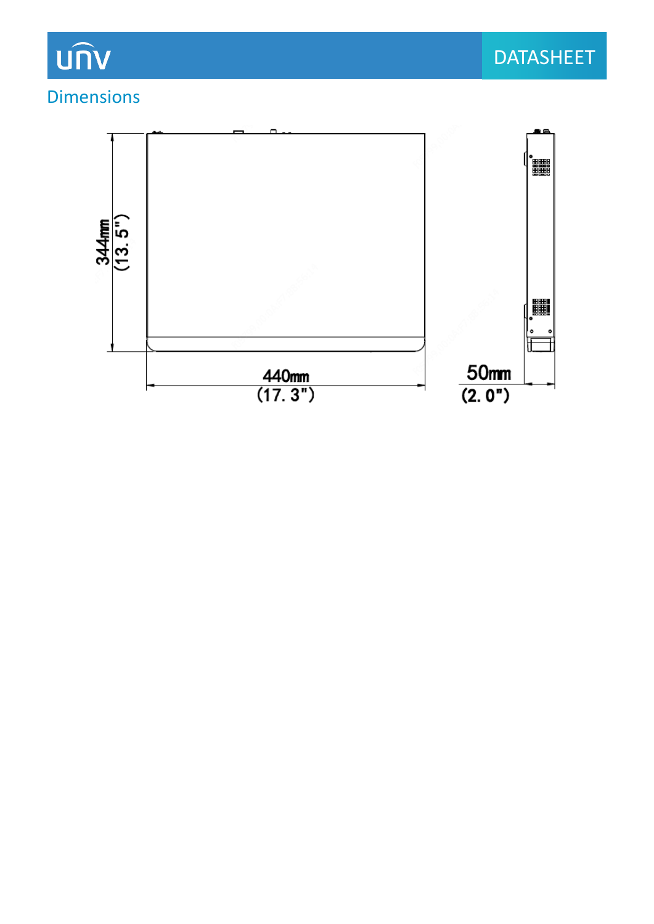